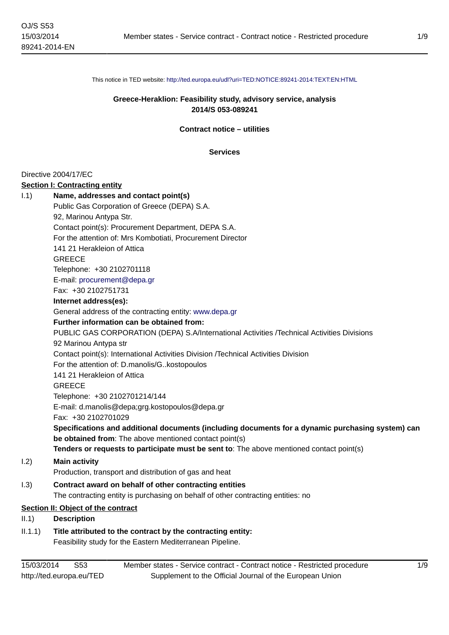This notice in TED website: <http://ted.europa.eu/udl?uri=TED:NOTICE:89241-2014:TEXT:EN:HTML>

## **Greece-Heraklion: Feasibility study, advisory service, analysis 2014/S 053-089241**

#### **Contract notice – utilities**

#### **Services**

#### Directive 2004/17/EC

#### **Section I: Contracting entity**

# I.1) **Name, addresses and contact point(s)**

Public Gas Corporation of Greece (DEPA) S.A.

92, Marinou Antypa Str.

Contact point(s): Procurement Department, DEPA S.A.

For the attention of: Mrs Kombotiati, Procurement Director

141 21 Herakleion of Attica

GREECE

Telephone: +30 2102701118

E-mail: [procurement@depa.gr](mailto:procurement@depa.gr)

Fax: +30 2102751731

# **Internet address(es):**

General address of the contracting entity:<www.depa.gr>

#### **Further information can be obtained from:**

PUBLIC GAS CORPORATION (DEPA) S.A/International Activities /Technical Activities Divisions

## 92 Marinou Antypa str

Contact point(s): International Activities Division /Technical Activities Division

For the attention of: D.manolis/G..kostopoulos

141 21 Herakleion of Attica

**GREECE** 

Telephone: +30 2102701214/144

E-mail: d.manolis@depa;grg.kostopoulos@depa.gr

Fax: +30 2102701029

**Specifications and additional documents (including documents for a dynamic purchasing system) can be obtained from**: The above mentioned contact point(s)

**Tenders or requests to participate must be sent to**: The above mentioned contact point(s)

## I.2) **Main activity**

Production, transport and distribution of gas and heat

# I.3) **Contract award on behalf of other contracting entities**

The contracting entity is purchasing on behalf of other contracting entities: no

# **Section II: Object of the contract**

## II.1) **Description**

# II.1.1) **Title attributed to the contract by the contracting entity:**

Feasibility study for the Eastern Mediterranean Pipeline.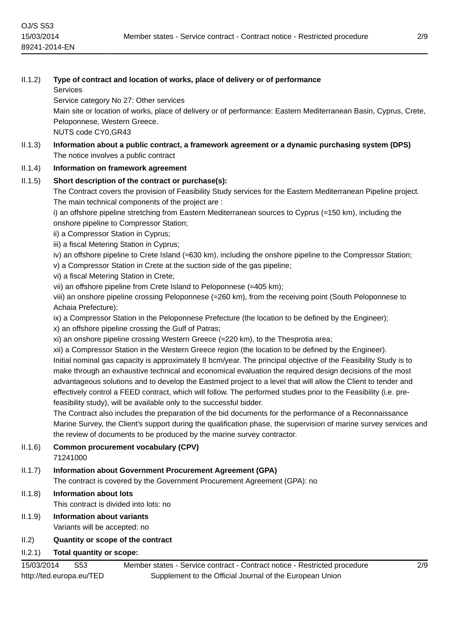| II.1.2) | Type of contract and location of works, place of delivery or of performance<br><b>Services</b>                                                                                               |
|---------|----------------------------------------------------------------------------------------------------------------------------------------------------------------------------------------------|
|         | Service category No 27: Other services                                                                                                                                                       |
|         | Main site or location of works, place of delivery or of performance: Eastern Mediterranean Basin, Cyprus, Crete,                                                                             |
|         | Peloponnese, Western Greece.                                                                                                                                                                 |
|         | NUTS code CY0, GR43                                                                                                                                                                          |
| II.1.3) | Information about a public contract, a framework agreement or a dynamic purchasing system (DPS)                                                                                              |
|         | The notice involves a public contract                                                                                                                                                        |
| II.1.4) | Information on framework agreement                                                                                                                                                           |
| II.1.5) | Short description of the contract or purchase(s):                                                                                                                                            |
|         | The Contract covers the provision of Feasibility Study services for the Eastern Mediterranean Pipeline project.<br>The main technical components of the project are :                        |
|         | i) an offshore pipeline stretching from Eastern Mediterranean sources to Cyprus (=150 km), including the<br>onshore pipeline to Compressor Station;                                          |
|         | ii) a Compressor Station in Cyprus;                                                                                                                                                          |
|         | iii) a fiscal Metering Station in Cyprus;                                                                                                                                                    |
|         | iv) an offshore pipeline to Crete Island (=630 km), including the onshore pipeline to the Compressor Station;                                                                                |
|         | v) a Compressor Station in Crete at the suction side of the gas pipeline;                                                                                                                    |
|         | vi) a fiscal Metering Station in Crete;                                                                                                                                                      |
|         | vii) an offshore pipeline from Crete Island to Peloponnese (≈405 km);                                                                                                                        |
|         | viii) an onshore pipeline crossing Peloponnese (≈260 km), from the receiving point (South Peloponnese to<br>Achaia Prefecture);                                                              |
|         | ix) a Compressor Station in the Peloponnese Prefecture (the location to be defined by the Engineer);<br>x) an offshore pipeline crossing the Gulf of Patras;                                 |
|         | xi) an onshore pipeline crossing Western Greece (≈220 km), to the Thesprotia area;                                                                                                           |
|         | xii) a Compressor Station in the Western Greece region (the location to be defined by the Engineer).                                                                                         |
|         | Initial nominal gas capacity is approximately 8 bcm/year. The principal objective of the Feasibility Study is to                                                                             |
|         | make through an exhaustive technical and economical evaluation the required design decisions of the most                                                                                     |
|         | advantageous solutions and to develop the Eastmed project to a level that will allow the Client to tender and                                                                                |
|         | effectively control a FEED contract, which will follow. The performed studies prior to the Feasibility (i.e. pre-                                                                            |
|         | feasibility study), will be available only to the successful bidder.                                                                                                                         |
|         | The Contract also includes the preparation of the bid documents for the performance of a Reconnaissance                                                                                      |
|         | Marine Survey, the Client's support during the qualification phase, the supervision of marine survey services and<br>the review of documents to be produced by the marine survey contractor. |
|         |                                                                                                                                                                                              |
| II.1.6) | <b>Common procurement vocabulary (CPV)</b><br>71241000                                                                                                                                       |
| II.1.7) | Information about Government Procurement Agreement (GPA)                                                                                                                                     |
|         | The contract is covered by the Government Procurement Agreement (GPA): no                                                                                                                    |
| II.1.8) | <b>Information about lots</b>                                                                                                                                                                |
|         | This contract is divided into lots: no                                                                                                                                                       |
| 1119    | Information about variants                                                                                                                                                                   |

- II.1.9) **Information about variants** Variants will be accepted: no
- II.2) **Quantity or scope of the contract**
- II.2.1) **Total quantity or scope:**

OJ/S S53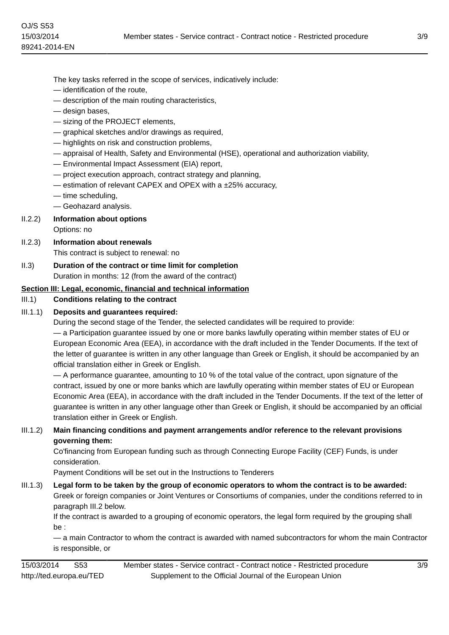The key tasks referred in the scope of services, indicatively include:

- identification of the route,
- description of the main routing characteristics,
- design bases,
- sizing of the PROJECT elements,
- graphical sketches and/or drawings as required,
- highlights on risk and construction problems,
- appraisal of Health, Safety and Environmental (HSE), operational and authorization viability,
- Environmental Impact Assessment (EIA) report,
- project execution approach, contract strategy and planning,
- estimation of relevant CAPEX and OPEX with a ±25% accuracy,
- time scheduling,
- Geohazard analysis.

#### II.2.2) **Information about options**

Options: no

- II.2.3) **Information about renewals** This contract is subject to renewal: no
- II.3) **Duration of the contract or time limit for completion** Duration in months: 12 (from the award of the contract)

## **Section III: Legal, economic, financial and technical information**

#### III.1) **Conditions relating to the contract**

## III.1.1) **Deposits and guarantees required:**

During the second stage of the Tender, the selected candidates will be required to provide:

— a Participation guarantee issued by one or more banks lawfully operating within member states of EU or European Economic Area (EEA), in accordance with the draft included in the Tender Documents. If the text of the letter of guarantee is written in any other language than Greek or English, it should be accompanied by an official translation either in Greek or English.

— A performance guarantee, amounting to 10 % of the total value of the contract, upon signature of the contract, issued by one or more banks which are lawfully operating within member states of EU or European Economic Area (EEA), in accordance with the draft included in the Tender Documents. If the text of the letter of guarantee is written in any other language other than Greek or English, it should be accompanied by an official translation either in Greek or English.

## III.1.2) **Main financing conditions and payment arrangements and/or reference to the relevant provisions governing them:**

Co'financing from European funding such as through Connecting Europe Facility (CEF) Funds, is under consideration.

Payment Conditions will be set out in the Instructions to Tenderers

# III.1.3) **Legal form to be taken by the group of economic operators to whom the contract is to be awarded:**

Greek or foreign companies or Joint Ventures or Consortiums of companies, under the conditions referred to in paragraph III.2 below.

If the contract is awarded to a grouping of economic operators, the legal form required by the grouping shall be :

— a main Contractor to whom the contract is awarded with named subcontractors for whom the main Contractor is responsible, or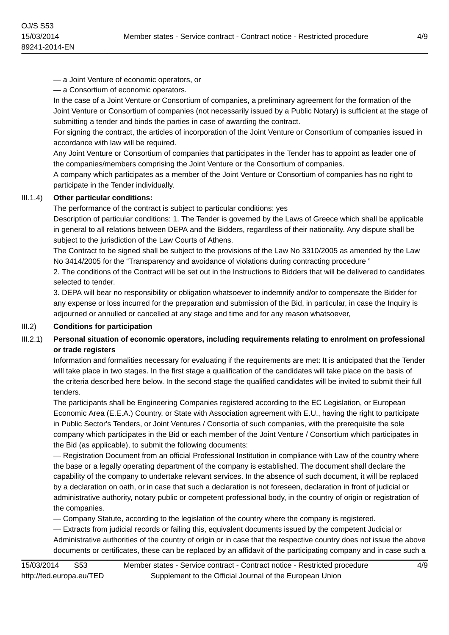— a Joint Venture of economic operators, or

— a Consortium of economic operators.

In the case of a Joint Venture or Consortium of companies, a preliminary agreement for the formation of the Joint Venture or Consortium of companies (not necessarily issued by a Public Notary) is sufficient at the stage of submitting a tender and binds the parties in case of awarding the contract.

For signing the contract, the articles of incorporation of the Joint Venture or Consortium of companies issued in accordance with law will be required.

Any Joint Venture or Consortium of companies that participates in the Tender has to appoint as leader one of the companies/members comprising the Joint Venture or the Consortium of companies.

A company which participates as a member of the Joint Venture or Consortium of companies has no right to participate in the Tender individually.

## III.1.4) **Other particular conditions:**

The performance of the contract is subject to particular conditions: yes

Description of particular conditions: 1. The Tender is governed by the Laws of Greece which shall be applicable in general to all relations between DEPA and the Bidders, regardless of their nationality. Any dispute shall be subject to the jurisdiction of the Law Courts of Athens.

The Contract to be signed shall be subject to the provisions of the Law No 3310/2005 as amended by the Law No 3414/2005 for the "Transparency and avoidance of violations during contracting procedure "

2. The conditions of the Contract will be set out in the Instructions to Bidders that will be delivered to candidates selected to tender.

3. DEPA will bear no responsibility or obligation whatsoever to indemnify and/or to compensate the Bidder for any expense or loss incurred for the preparation and submission of the Bid, in particular, in case the Inquiry is adjourned or annulled or cancelled at any stage and time and for any reason whatsoever,

## III.2) **Conditions for participation**

# III.2.1) **Personal situation of economic operators, including requirements relating to enrolment on professional or trade registers**

Information and formalities necessary for evaluating if the requirements are met: It is anticipated that the Tender will take place in two stages. In the first stage a qualification of the candidates will take place on the basis of the criteria described here below. In the second stage the qualified candidates will be invited to submit their full tenders.

The participants shall be Engineering Companies registered according to the EC Legislation, or European Economic Area (E.E.A.) Country, or State with Association agreement with E.U., having the right to participate in Public Sector's Tenders, or Joint Ventures / Consortia of such companies, with the prerequisite the sole company which participates in the Bid or each member of the Joint Venture / Consortium which participates in the Bid (as applicable), to submit the following documents:

— Registration Document from an official Professional Institution in compliance with Law of the country where the base or a legally operating department of the company is established. The document shall declare the capability of the company to undertake relevant services. In the absence of such document, it will be replaced by a declaration on oath, or in case that such a declaration is not foreseen, declaration in front of judicial or administrative authority, notary public or competent professional body, in the country of origin or registration of the companies.

— Company Statute, according to the legislation of the country where the company is registered.

— Extracts from judicial records or failing this, equivalent documents issued by the competent Judicial or Administrative authorities of the country of origin or in case that the respective country does not issue the above documents or certificates, these can be replaced by an affidavit of the participating company and in case such a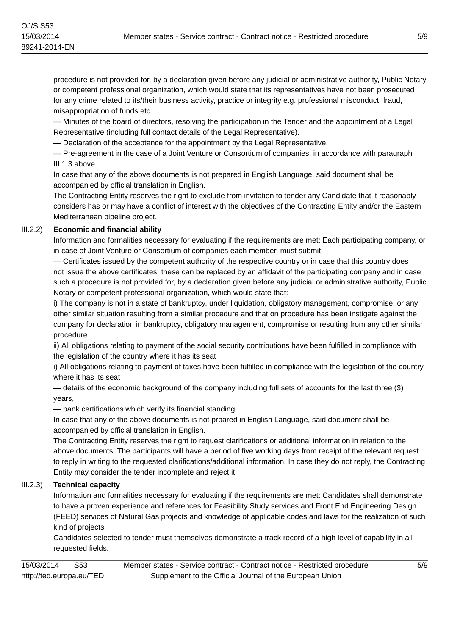procedure is not provided for, by a declaration given before any judicial or administrative authority, Public Notary or competent professional organization, which would state that its representatives have not been prosecuted for any crime related to its/their business activity, practice or integrity e.g. professional misconduct, fraud, misappropriation of funds etc.

— Minutes of the board of directors, resolving the participation in the Tender and the appointment of a Legal Representative (including full contact details of the Legal Representative).

— Declaration of the acceptance for the appointment by the Legal Representative.

— Pre-agreement in the case of a Joint Venture or Consortium of companies, in accordance with paragraph III.1.3 above.

In case that any of the above documents is not prepared in English Language, said document shall be accompanied by official translation in English.

The Contracting Entity reserves the right to exclude from invitation to tender any Candidate that it reasonably considers has or may have a conflict of interest with the objectives of the Contracting Entity and/or the Eastern Mediterranean pipeline project.

## III.2.2) **Economic and financial ability**

Information and formalities necessary for evaluating if the requirements are met: Each participating company, or in case of Joint Venture or Consortium of companies each member, must submit:

— Certificates issued by the competent authority of the respective country or in case that this country does not issue the above certificates, these can be replaced by an affidavit of the participating company and in case such a procedure is not provided for, by a declaration given before any judicial or administrative authority, Public Notary or competent professional organization, which would state that:

i) The company is not in a state of bankruptcy, under liquidation, obligatory management, compromise, or any other similar situation resulting from a similar procedure and that on procedure has been instigate against the company for declaration in bankruptcy, obligatory management, compromise or resulting from any other similar procedure.

ii) All obligations relating to payment of the social security contributions have been fulfilled in compliance with the legislation of the country where it has its seat

i) All obligations relating to payment of taxes have been fulfilled in compliance with the legislation of the country where it has its seat

— details of the economic background of the company including full sets of accounts for the last three (3) years,

— bank certifications which verify its financial standing.

In case that any of the above documents is not prpared in English Language, said document shall be accompanied by official translation in English.

The Contracting Entity reserves the right to request clarifications or additional information in relation to the above documents. The participants will have a period of five working days from receipt of the relevant request to reply in writing to the requested clarifications/additional information. In case they do not reply, the Contracting Entity may consider the tender incomplete and reject it.

# III.2.3) **Technical capacity**

Information and formalities necessary for evaluating if the requirements are met: Candidates shall demonstrate to have a proven experience and references for Feasibility Study services and Front End Engineering Design (FEED) services of Natural Gas projects and knowledge of applicable codes and laws for the realization of such kind of projects.

Candidates selected to tender must themselves demonstrate a track record of a high level of capability in all requested fields.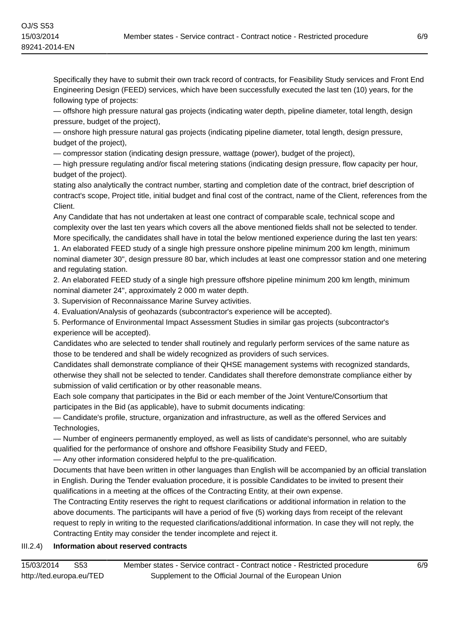Specifically they have to submit their own track record of contracts, for Feasibility Study services and Front End Engineering Design (FEED) services, which have been successfully executed the last ten (10) years, for the following type of projects:

— offshore high pressure natural gas projects (indicating water depth, pipeline diameter, total length, design pressure, budget of the project),

— onshore high pressure natural gas projects (indicating pipeline diameter, total length, design pressure, budget of the project),

— compressor station (indicating design pressure, wattage (power), budget of the project),

— high pressure regulating and/or fiscal metering stations (indicating design pressure, flow capacity per hour, budget of the project).

stating also analytically the contract number, starting and completion date of the contract, brief description of contract's scope, Project title, initial budget and final cost of the contract, name of the Client, references from the Client.

Any Candidate that has not undertaken at least one contract of comparable scale, technical scope and complexity over the last ten years which covers all the above mentioned fields shall not be selected to tender. More specifically, the candidates shall have in total the below mentioned experience during the last ten years: 1. An elaborated FEED study of a single high pressure onshore pipeline minimum 200 km length, minimum nominal diameter 30'', design pressure 80 bar, which includes at least one compressor station and one metering

and regulating station. 2. An elaborated FEED study of a single high pressure offshore pipeline minimum 200 km length, minimum

nominal diameter 24'', approximately 2 000 m water depth.

3. Supervision of Reconnaissance Marine Survey activities.

4. Evaluation/Analysis of geohazards (subcontractor's experience will be accepted).

5. Performance of Environmental Impact Assessment Studies in similar gas projects (subcontractor's experience will be accepted).

Candidates who are selected to tender shall routinely and regularly perform services of the same nature as those to be tendered and shall be widely recognized as providers of such services.

Candidates shall demonstrate compliance of their QHSE management systems with recognized standards, otherwise they shall not be selected to tender. Candidates shall therefore demonstrate compliance either by submission of valid certification or by other reasonable means.

Each sole company that participates in the Bid or each member of the Joint Venture/Consortium that participates in the Bid (as applicable), have to submit documents indicating:

— Candidate's profile, structure, organization and infrastructure, as well as the offered Services and Technologies,

— Number of engineers permanently employed, as well as lists of candidate's personnel, who are suitably qualified for the performance of onshore and offshore Feasibility Study and FEED,

— Any other information considered helpful to the pre-qualification.

Documents that have been written in other languages than English will be accompanied by an official translation in English. During the Tender evaluation procedure, it is possible Candidates to be invited to present their qualifications in a meeting at the offices of the Contracting Entity, at their own expense.

The Contracting Entity reserves the right to request clarifications or additional information in relation to the above documents. The participants will have a period of five (5) working days from receipt of the relevant request to reply in writing to the requested clarifications/additional information. In case they will not reply, the Contracting Entity may consider the tender incomplete and reject it.

## III.2.4) **Information about reserved contracts**

15/03/2014 S53 http://ted.europa.eu/TED Member states - Service contract - Contract notice - Restricted procedure Supplement to the Official Journal of the European Union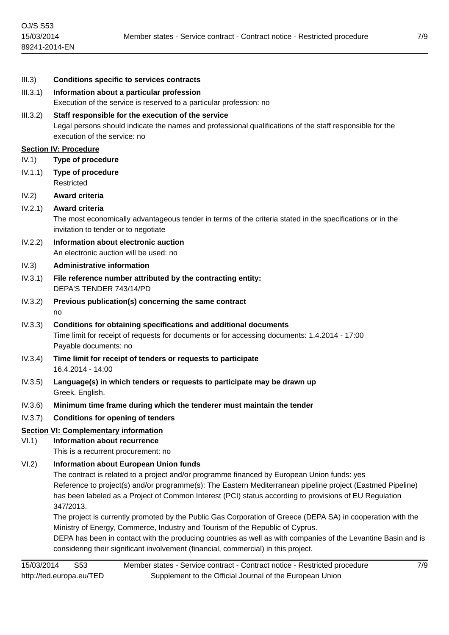| III.3)   | <b>Conditions specific to services contracts</b>                                                                                                                                                                                                                                                                                                                                                                                                                                                 |
|----------|--------------------------------------------------------------------------------------------------------------------------------------------------------------------------------------------------------------------------------------------------------------------------------------------------------------------------------------------------------------------------------------------------------------------------------------------------------------------------------------------------|
| III.3.1) | Information about a particular profession                                                                                                                                                                                                                                                                                                                                                                                                                                                        |
|          | Execution of the service is reserved to a particular profession: no                                                                                                                                                                                                                                                                                                                                                                                                                              |
| III.3.2) | Staff responsible for the execution of the service                                                                                                                                                                                                                                                                                                                                                                                                                                               |
|          | Legal persons should indicate the names and professional qualifications of the staff responsible for the<br>execution of the service: no                                                                                                                                                                                                                                                                                                                                                         |
|          | <b>Section IV: Procedure</b>                                                                                                                                                                                                                                                                                                                                                                                                                                                                     |
| IV.1)    | <b>Type of procedure</b>                                                                                                                                                                                                                                                                                                                                                                                                                                                                         |
| IV.1.1)  | <b>Type of procedure</b><br>Restricted                                                                                                                                                                                                                                                                                                                                                                                                                                                           |
| IV.2)    | Award criteria                                                                                                                                                                                                                                                                                                                                                                                                                                                                                   |
| IV.2.1)  | Award criteria                                                                                                                                                                                                                                                                                                                                                                                                                                                                                   |
|          | The most economically advantageous tender in terms of the criteria stated in the specifications or in the<br>invitation to tender or to negotiate                                                                                                                                                                                                                                                                                                                                                |
| IV.2.2)  | Information about electronic auction                                                                                                                                                                                                                                                                                                                                                                                                                                                             |
|          | An electronic auction will be used: no                                                                                                                                                                                                                                                                                                                                                                                                                                                           |
| IV.3)    | <b>Administrative information</b>                                                                                                                                                                                                                                                                                                                                                                                                                                                                |
| IV.3.1)  | File reference number attributed by the contracting entity:<br>DEPA'S TENDER 743/14/PD                                                                                                                                                                                                                                                                                                                                                                                                           |
| IV.3.2)  | Previous publication(s) concerning the same contract                                                                                                                                                                                                                                                                                                                                                                                                                                             |
|          | no                                                                                                                                                                                                                                                                                                                                                                                                                                                                                               |
| IV.3.3)  | Conditions for obtaining specifications and additional documents<br>Time limit for receipt of requests for documents or for accessing documents: 1.4.2014 - 17:00<br>Payable documents: no                                                                                                                                                                                                                                                                                                       |
| IV.3.4)  | Time limit for receipt of tenders or requests to participate<br>16.4.2014 - 14:00                                                                                                                                                                                                                                                                                                                                                                                                                |
| IV.3.5)  | Language(s) in which tenders or requests to participate may be drawn up<br>Greek. English.                                                                                                                                                                                                                                                                                                                                                                                                       |
| IV.3.6)  | Minimum time frame during which the tenderer must maintain the tender                                                                                                                                                                                                                                                                                                                                                                                                                            |
| IV.3.7)  | <b>Conditions for opening of tenders</b>                                                                                                                                                                                                                                                                                                                                                                                                                                                         |
|          | <b>Section VI: Complementary information</b>                                                                                                                                                                                                                                                                                                                                                                                                                                                     |
| VI.1)    | <b>Information about recurrence</b>                                                                                                                                                                                                                                                                                                                                                                                                                                                              |
|          | This is a recurrent procurement: no                                                                                                                                                                                                                                                                                                                                                                                                                                                              |
| VI.2)    | <b>Information about European Union funds</b><br>The contract is related to a project and/or programme financed by European Union funds: yes<br>Reference to project(s) and/or programme(s): The Eastern Mediterranean pipeline project (Eastmed Pipeline)<br>has been labeled as a Project of Common Interest (PCI) status according to provisions of EU Regulation<br>347/2013.<br>The project is currently promoted by the Public Gas Corporation of Greece (DEPA SA) in cooperation with the |
|          | Ministry of Energy, Commerce, Industry and Tourism of the Republic of Cyprus.                                                                                                                                                                                                                                                                                                                                                                                                                    |
|          | DEPA has been in contact with the producing countries as well as with companies of the Levantine Basin and is<br>considering their significant involvement (financial, commercial) in this project.                                                                                                                                                                                                                                                                                              |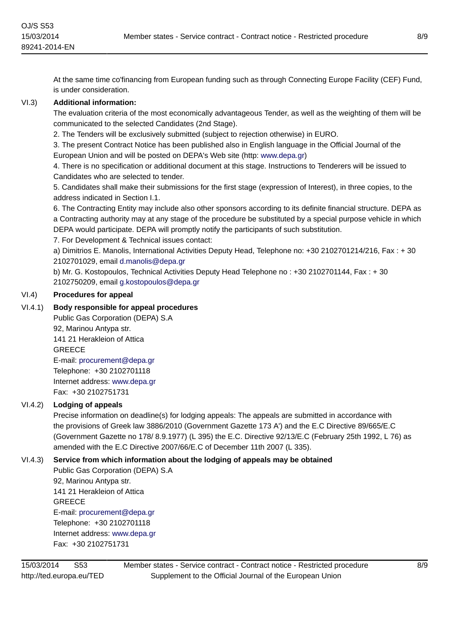At the same time co'financing from European funding such as through Connecting Europe Facility (CEF) Fund, is under consideration.

## VI.3) **Additional information:**

The evaluation criteria of the most economically advantageous Tender, as well as the weighting of them will be communicated to the selected Candidates (2nd Stage).

2. The Tenders will be exclusively submitted (subject to rejection otherwise) in EURO.

3. The present Contract Notice has been published also in English language in the Official Journal of the European Union and will be posted on DEPA's Web site (http: <www.depa.gr>)

4. There is no specification or additional document at this stage. Instructions to Tenderers will be issued to Candidates who are selected to tender.

5. Candidates shall make their submissions for the first stage (expression of Interest), in three copies, to the address indicated in Section I.1.

6. The Contracting Entity may include also other sponsors according to its definite financial structure. DEPA as a Contracting authority may at any stage of the procedure be substituted by a special purpose vehicle in which DEPA would participate. DEPA will promptly notify the participants of such substitution.

7. For Development & Technical issues contact:

a) Dimitrios E. Manolis, International Activities Deputy Head, Telephone no: +30 2102701214/216, Fax : + 30 2102701029, email [d.manolis@depa.gr](mailto:d.manolis@depa.gr)

b) Mr. G. Kostopoulos, Technical Activities Deputy Head Telephone no : +30 2102701144, Fax : + 30 2102750209, email [g.kostopoulos@depa.gr](mailto:g.kostopoulos@depa.gr)

## VI.4) **Procedures for appeal**

# VI.4.1) **Body responsible for appeal procedures**

Public Gas Corporation (DEPA) S.A 92, Marinou Antypa str. 141 21 Herakleion of Attica **GREECE** E-mail: [procurement@depa.gr](mailto:procurement@depa.gr) Telephone: +30 2102701118 Internet address: <www.depa.gr> Fax: +30 2102751731

## VI.4.2) **Lodging of appeals**

Precise information on deadline(s) for lodging appeals: The appeals are submitted in accordance with the provisions of Greek law 3886/2010 (Government Gazette 173 Α') and the E.C Directive 89/665/E.C (Government Gazette no 178/ 8.9.1977) (L 395) the E.C. Directive 92/13/E.C (February 25th 1992, L 76) as amended with the E.C Directive 2007/66/E.C of December 11th 2007 (L 335).

# VI.4.3) **Service from which information about the lodging of appeals may be obtained**

Public Gas Corporation (DEPA) S.A 92, Marinou Antypa str. 141 21 Herakleion of Attica **GREECE** E-mail: [procurement@depa.gr](mailto:procurement@depa.gr) Telephone: +30 2102701118 Internet address: <www.depa.gr> Fax: +30 2102751731